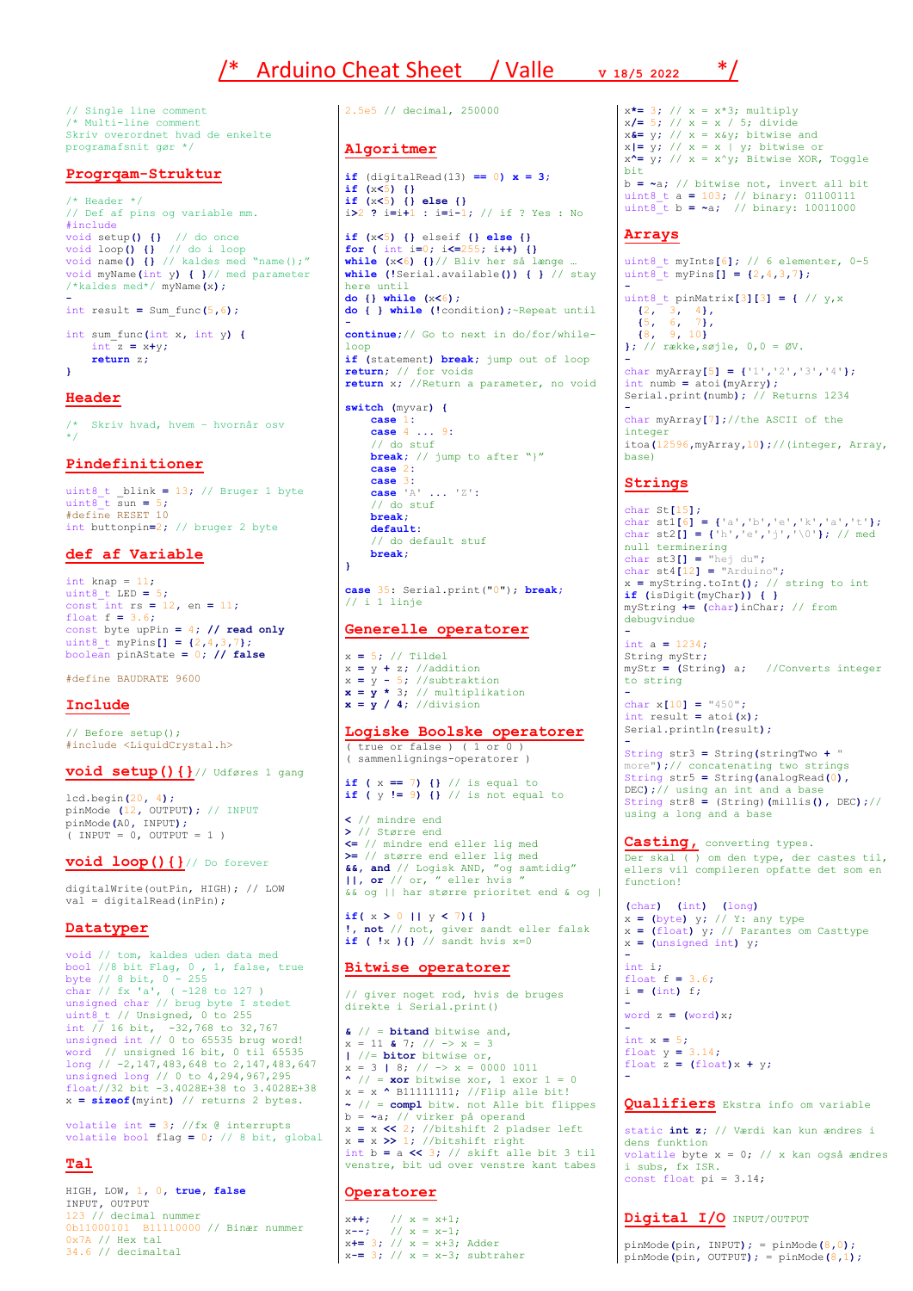# /\* Arduino Cheat Sheet / Valle **V 18/5 2022** \*/

// Single line comment /\* Multi-line comment Skriv overordnet hvad de enkelte programafsnit gør \*/

## **Progrqam-Struktur**

 $/\star$  Header  $\star/$ // Def af pins og variable mm. #include void setup**() {}** // do once void loop**() {}** // do i loop void name**() {}** // kaldes med "name();" void myName**(**int y**) { }**// med parameter /\*kaldes med\*/ myName**(**x**); -** int result **=** Sum\_func**(**5**,**6**);**

int sum\_func**(**int x**,** int y**) {** int z **=** x**+**y**; return** z**; }**

## **Header**

/\* Skriv hvad, hvem – hvornår osv \*/

## **Pindefinitioner**

 $uint8$  t blink = 13; // Bruger 1 byte uint8\_t sun **=** 5**;** #define RESET 10 int buttonpin**=**2**;** // bruger 2 byte

# **def af Variable**

int knap =  $11$ ; uint8\_t LED **=** 5**;** const int rs **=** 12**,** en **=** 11**;** float f **=** 3.6**;**  $\frac{1}{2}$   $\frac{1}{2}$   $\frac{1}{2}$   $\frac{1}{2}$   $\frac{1}{2}$   $\frac{1}{2}$  **const byte upPin = 4;** // **read only** uint8\_t myPins**[] = {**2**,**4**,**3**,**7**};** boolean pinAState **=** 0**; // false**

#define BAUDRATE 9600

## **Include**

// Before setup(); #include <LiquidCrystal.h>

**void setup(){}**// Udføres 1 gang

lcd**.**begin**(**20**,** 4**);** pinMode **(**12**,** OUTPUT**);** // INPUT pinMode**(**A0**,** INPUT**);** ( INPUT = 0, OUTPUT = 1 )

#### **void loop(){}**// Do forever

digitalWrite(outPin, HIGH); // LOW val = digitalRead(inPin);

# **Datatyper**

void // tom, kaldes uden data med bool //8 bit Flag, 0 , 1, false, true byte // 8 bit, 0 - 255 char // fx 'a', ( -128 to 127 ) unsigned char // brug byte I stedet uint8\_t // Unsigned, 0 to 255 int // 16 bit, -32,768 to 32,767 unsigned int // 0 to 65535 brug word! word // unsigned 16 bit, 0 til 65535 long // -2,147,483,648 to 2,147,483,647 unsigned long // 0 to 4,294,967,295 float//32 bit -3.4028E+38 to 3.4028E+38 x **= sizeof(**myint**)** // returns 2 bytes.

volatile int **=** 3**;** //fx @ interrupts volatile bool flag **=** 0**;** // 8 bit, global

# **Tal**

HIGH**,** LOW**,** 1**,** 0**, true, false** INPUT**,** OUTPUT 123 // decimal nummer 0b11000101 B11110000 // Binær nummer 0x7A // Hex tal 34.6 // decimaltal

2.5e5 // decimal, 250000

#### **Algoritmer**

**if**  $(\text{digitalRead}(13) == 0) \times = 3;$ **if (**x**<**5**) {} if (**x**<**5**) {} else {}** i**>**2 **?** i**=**i**+**1 **:** i**=**i**-**1**;** // if ? Yes : No **if (**x**<**5**) {}** elseif **{} else {} for (** int i**=**0**;** i**<=**255**;** i**++) {} while (**x**<**6**) {}**// Bliv her så længe … **while (!**Serial**.**available**()) { }** // stay here until **do {} while (**x**<**6**); do { } while (!**condition**);**~Repeat until  **continue;**// Go to next in do/for/whileloop **if (**statement**) break;** jump out of loop **return;** // for voids **return** x**;** //Return a parameter, no void **switch (**myvar**) { case** 1**: case** 4 **...** 9**:** // do stuf **break;** // jump to after "}"

 **case** 2**: case** 3**: case** 'A' **...** 'Z'**:** // do stuf **break; default:** // do default stuf **break;**

**case** 35: Serial.print("0"); **break;** // i 1 linje

# **Generelle operatorer**

**}**

x **=** 5**;** // Tildel  $x = v + z$ ; //addition  $x = y - 5$ ; //subtraktion  $x = y * 3; // multiplication$  $x = y / 4$ ; //division

## **Logiske Boolske operatorer**

( true or false ) ( 1 or 0 ) ( sammenlignings-operatorer )

**if** ( $x == 7$ ) {} // is equal to <br>**if** ( $y != 9$ ) {} // is not equal to

**<** // mindre end **>** // Større end **<=** // mindre end eller lig med **>=** // større end eller lig med **&&, and** // Logisk AND, "og samtidig" **||, or** // or, " eller hvis " && og || har større prioritet end & og |

**if(** x **>** 0 **||** y **<** 7**){ } !, not** // not, giver sandt eller falsk **if ( !**x **){}** // sandt hvis x=0

## **Bitwise operatorer**

// giver noget rod, hvis de bruges direkte i Serial.print()

**&** // = **bitand** bitwise and, x = 11 **&** 7; // -> x = 3 **|** //= **bitor** bitwise or,  $x = 3$  | 8;  $// \rightarrow x = 0000$  1011 **^** // = **xor** bitwise xor, 1 exor 1 = 0 x = x **^** B11111111; //Flip alle bit! **~** // = **compl** bitw. not Alle bit flippes b = **~**a; // virker på operand x **=** x **<<** 2**;** //bitshift 2 pladser left x **=** x **>>** 1**;** //bitshift right int b **=** a **<<** 3**;** // skift alle bit 3 til venstre, bit ud over venstre kant tabes

# **Operatorer**

 $x++;$  //  $x = x+1;$ x**--;** // x = x-1; x**+=** 3**;** // x = x+3; Adder  $x == 3$ ; //  $x = x-3$ ; subtraher x**\*=** 3**;** // x = x\*3; multiply x**/=** 5**;** // x = x / 5; divide x**&=** y**;** // x = x&y; bitwise and  $x| = y$ ; //  $x = x | y$ ; bitwise or<br> $x^* = y$ ; //  $x = x^y$ ; Bitwise XOR, Toggle bit b **= ~**a**;** // bitwise not, invert all bit uint8\_t a **=** 103**;** // binary: 01100111 uint8\_t b **= ~**a**;** // binary: 10011000

#### **Arrays**

uint8\_t myInts**[**6**];** // 6 elementer, 0-5 uint8\_t myPins**[] = {**2**,**4**,**3**,**7**}; -** uint8\_t pinMatrix**[**3**][**3**] = {** // y,x **{**2**,** 3**,** 4**}, {**5**,** 6**,** 7**}, {**8**,** 9**,** 10**} };** // række,søjle, 0,0 = ØV. **-** char myArray**[**5**] = {**'1'**,**'2'**,**'3'**,**'4'**};** int numb **=** atoi**(**myArry**);** Serial**.**print**(**numb**);** // Returns 1234

**-** char myArray**[**7**];**//the ASCII of the integer itoa**(**12596**,**myArray**,**10**);**//(integer, Array, base)

#### **Strings**

**-**

char St**[**15**];** char st1**[**6**] = {**'a'**,**'b'**,**'e'**,**'k'**,**'a'**,**'t'**};** char st2**[] = {**'h'**,**'e'**,**'j'**,**'\0'**};** // med null terminering char st3**[] =** "hej du"**;** char st4**[**12**] =** "Arduino"**;** x **=** myString**.**toInt**();** // string to int **if (**isDigit**(**myChar**)) { }** myString **+= (**char**)**inChar**;** // from debugvindue

**-** int a **=** 1234**;** String myStr**;** myStr **= (**String**)** a**;** //Converts integer to string  char x**[**10**] =** "450"**;** int result **=** atoi**(**x**);** Serial**.**println**(**result**);**

String str3 **=** String**(**stringTwo **+** " more"**);**// concatenating two strings String str5 **=** String**(**analogRead**(**0**),** DEC**);**// using an int and a base String str8 **=** (String)**(**millis**(),** DEC**);**// using a long and a base

**Casting,** converting types. Der skal ( ) om den type, der castes til, ellers vil compileren opfatte det som en function!

**(**char**) (**int**) (**long**)** x **= (**byte**)** y**;** // Y: any type x **= (**float**)** y**;** // Parantes om Casttype x **= (**unsigned int**)** y**;**

**-** int i**;**  $f$ loat  $f = 3.6$ **;** i **= (**int**)** f**;**

**-**

  $word z = (word)x$ ;

int x **=** 5**;** float y **=** 3.14**;** float  $\mathbf{z} = (\text{float})\mathbf{x} + \mathbf{y}$ ; **-**

**Qualifiers** Ekstra info om variable

static **int z;** // Værdi kan kun ændres i dens funktion volatile byte  $x = 0$ ; // x kan også ændres i subs, fx ISR. const float  $pi = 3.14$ ;

# **Digital I/O** INPUT/OUTPUT

pinMode**(**pin**,** INPUT**);** = pinMode**(**8**,**0**);** pinMode**(**pin**,** OUTPUT**);** = pinMode**(**8**,**1**);**